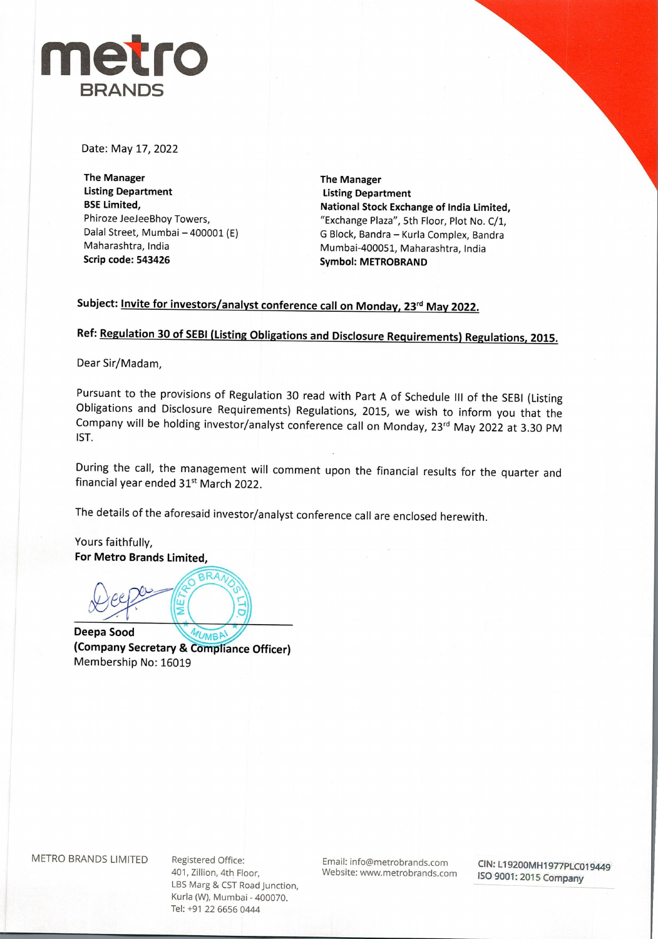

Date: May 17, 2022

**The Manager Listing Department BSE Limited,**  Phiroze JeeJeeBhoy Towers, Dalal Street, Mumbai - 400001 (E) Maharashtra, India **Scrip code: 543426** 

**The Manager Listing Department National Stock Exchange of India Limited,**  "Exchange Plaza", 5th Floor, Plot No. C/1, G Block, Bandra - Kurla Complex, Bandra Mumbai-400051, Maharashtra, India **Symbol: METROBRAND** 

## Subject: **Invite for investors/analyst conference call on Monday, 23<sup>rd</sup> May 2022.**

**Ref: Regulation 30 of SEBI (Listing Obligations and Disclosure Requirements) Regulations, 2015.** 

Dear Sir/Madam,

Pursuant to the provisions of Regulation 30 read with Part A of Schedule Ill of the SEBI (Listing Obligations and Disclosure Requirements) Regulations, 2015, we wish to inform you that the Company will be holding investor/analyst conference call on Monday, 23<sup>rd</sup> May 2022 at 3.30 PM 1ST.

During the call, the management will comment upon the financial results for the quarter and financial year ended 31<sup>st</sup> March 2022.

The details of the aforesaid investor/analyst conference call are enclosed herewith.

Yours faithfully, **For Metro Brands Limited,** 

 $\overbrace{RAA}$  $Qeee^{\omega}$ 

**Deepa Sood (Company Secretary** & **Corpliance Officer)**  Membership No: 16019

401, Zillion, 4th Floor, LBS Marg & CST Road Junction, Kurla (W), Mumbai - 400070. Tel: +91 22 6656 0444

Email: info@metrobrands.com Website: www.metrobrands.com

**CIN:** L**T9200MH1977PLC019449**  ISO 9001: 2015 Company